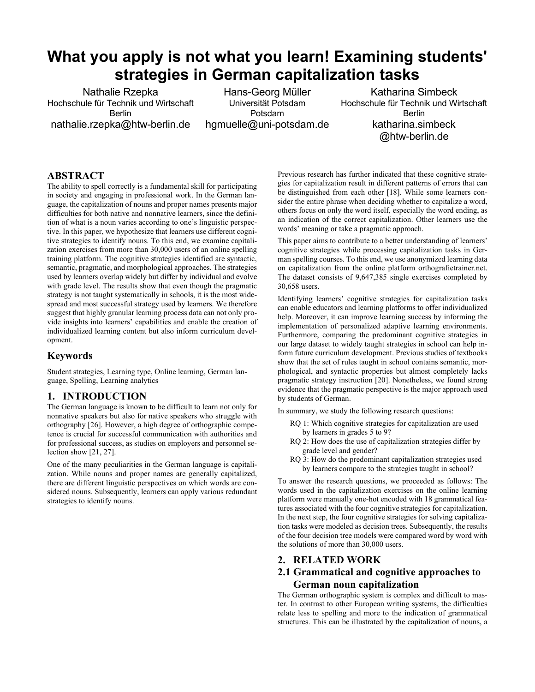# **What you apply is not what you learn! Examining students' strategies in German capitalization tasks**

Nathalie Rzepka Hochschule für Technik und Wirtschaft Berlin nathalie.rzepka@htw-berlin.de

Hans-Georg Müller Universität Potsdam Potsdam hgmuelle@uni-potsdam.de

Katharina Simbeck Hochschule für Technik und Wirtschaft Berlin katharina.simbeck @htw-berlin.de

# **ABSTRACT**

The ability to spell correctly is a fundamental skill for participating in society and engaging in professional work. In the German language, the capitalization of nouns and proper names presents major difficulties for both native and nonnative learners, since the definition of what is a noun varies according to one's linguistic perspective. In this paper, we hypothesize that learners use different cognitive strategies to identify nouns. To this end, we examine capitalization exercises from more than 30,000 users of an online spelling training platform. The cognitive strategies identified are syntactic, semantic, pragmatic, and morphological approaches. The strategies used by learners overlap widely but differ by individual and evolve with grade level. The results show that even though the pragmatic strategy is not taught systematically in schools, it is the most widespread and most successful strategy used by learners. We therefore suggest that highly granular learning process data can not only provide insights into learners' capabilities and enable the creation of individualized learning content but also inform curriculum development.

## **Keywords**

Student strategies, Learning type, Online learning, German language, Spelling, Learning analytics

#### **1. INTRODUCTION**

The German language is known to be difficult to learn not only for nonnative speakers but also for native speakers who struggle with orthography [26]. However, a high degree of orthographic competence is crucial for successful communication with authorities and for professional success, as studies on employers and personnel selection show [21, 27].

One of the many peculiarities in the German language is capitalization. While nouns and proper names are generally capitalized, there are different linguistic perspectives on which words are considered nouns. Subsequently, learners can apply various redundant strategies to identify nouns.

Previous research has further indicated that these cognitive strategies for capitalization result in different patterns of errors that can be distinguished from each other [18]. While some learners consider the entire phrase when deciding whether to capitalize a word, others focus on only the word itself, especially the word ending, as an indication of the correct capitalization. Other learners use the words' meaning or take a pragmatic approach.

This paper aims to contribute to a better understanding of learners' cognitive strategies while processing capitalization tasks in German spelling courses. To this end, we use anonymized learning data on capitalization from the online platform orthografietrainer.net. The dataset consists of 9,647,385 single exercises completed by 30,658 users.

Identifying learners' cognitive strategies for capitalization tasks can enable educators and learning platforms to offer individualized help. Moreover, it can improve learning success by informing the implementation of personalized adaptive learning environments. Furthermore, comparing the predominant cognitive strategies in our large dataset to widely taught strategies in school can help inform future curriculum development. Previous studies of textbooks show that the set of rules taught in school contains semantic, morphological, and syntactic properties but almost completely lacks pragmatic strategy instruction [20]. Nonetheless, we found strong evidence that the pragmatic perspective is the major approach used by students of German.

In summary, we study the following research questions:

- RQ 1: Which cognitive strategies for capitalization are used by learners in grades 5 to 9?
- RQ 2: How does the use of capitalization strategies differ by grade level and gender?
- RQ 3: How do the predominant capitalization strategies used by learners compare to the strategies taught in school?

To answer the research questions, we proceeded as follows: The words used in the capitalization exercises on the online learning platform were manually one-hot encoded with 18 grammatical features associated with the four cognitive strategies for capitalization. In the next step, the four cognitive strategies for solving capitalization tasks were modeled as decision trees. Subsequently, the results of the four decision tree models were compared word by word with the solutions of more than 30,000 users.

#### **2. RELATED WORK**

# **2.1 Grammatical and cognitive approaches to German noun capitalization**

The German orthographic system is complex and difficult to master. In contrast to other European writing systems, the difficulties relate less to spelling and more to the indication of grammatical structures. This can be illustrated by the capitalization of nouns, a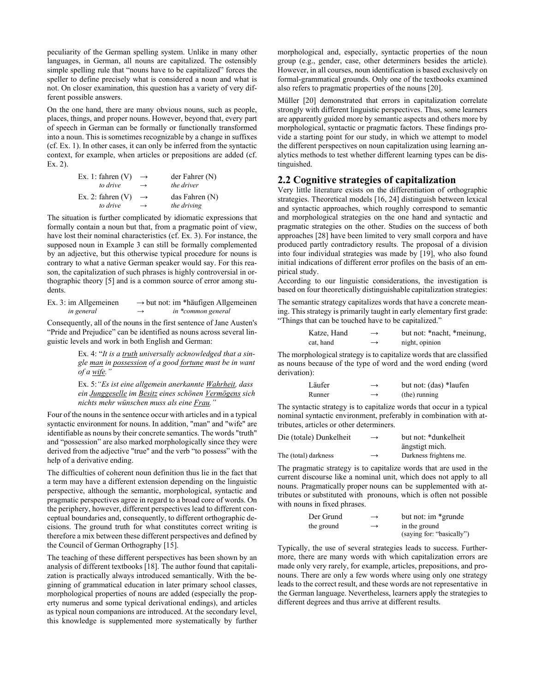peculiarity of the German spelling system. Unlike in many other languages, in German, all nouns are capitalized. The ostensibly simple spelling rule that "nouns have to be capitalized" forces the speller to define precisely what is considered a noun and what is not. On closer examination, this question has a variety of very different possible answers.

On the one hand, there are many obvious nouns, such as people, places, things, and proper nouns. However, beyond that, every part of speech in German can be formally or functionally transformed into a noun. This is sometimes recognizable by a change in suffixes (cf. Ex. 1). In other cases, it can only be inferred from the syntactic context, for example, when articles or prepositions are added (cf. Ex. 2).

| Ex. 1: fahren $(V)$ | $\rightarrow$ | der Fahrenheit(N) |
|---------------------|---------------|-------------------|
| to drive            | $\rightarrow$ | the driver        |
| Ex. 2: fahren $(V)$ | $\rightarrow$ | das Fahren (N)    |
| to drive            | $\rightarrow$ | the driving       |

The situation is further complicated by idiomatic expressions that formally contain a noun but that, from a pragmatic point of view, have lost their nominal characteristics (cf. Ex. 3). For instance, the supposed noun in Example 3 can still be formally complemented by an adjective, but this otherwise typical procedure for nouns is contrary to what a native German speaker would say. For this reason, the capitalization of such phrases is highly controversial in orthographic theory [5] and is a common source of error among students.

| Ex. 3: im Allgemeinen |               | $\rightarrow$ but not: im *häufigen Allgemeinen |
|-----------------------|---------------|-------------------------------------------------|
| in general            | $\rightarrow$ | in *common general                              |

Consequently, all of the nouns in the first sentence of Jane Austen's "Pride and Prejudice" can be identified as nouns across several linguistic levels and work in both English and German:

> Ex. 4: "*It is a truth universally acknowledged that a single man in possession of a good fortune must be in want of a wife."*

> Ex. 5:*"Es ist eine allgemein anerkannte Wahrheit, dass ein Junggeselle im Besitz eines schönen Vermögens sich nichts mehr wünschen muss als eine Frau."*

Four of the nouns in the sentence occur with articles and in a typical syntactic environment for nouns. In addition, "man" and "wife" are identifiable as nouns by their concrete semantics. The words "truth" and "possession" are also marked morphologically since they were derived from the adjective "true" and the verb "to possess" with the help of a derivative ending.

The difficulties of coherent noun definition thus lie in the fact that a term may have a different extension depending on the linguistic perspective, although the semantic, morphological, syntactic and pragmatic perspectives agree in regard to a broad core of words. On the periphery, however, different perspectives lead to different conceptual boundaries and, consequently, to different orthographic decisions. The ground truth for what constitutes correct writing is therefore a mix between these different perspectives and defined by the Council of German Orthography [15].

The teaching of these different perspectives has been shown by an analysis of different textbooks [18]. The author found that capitalization is practically always introduced semantically. With the beginning of grammatical education in later primary school classes, morphological properties of nouns are added (especially the property numerus and some typical derivational endings), and articles as typical noun companions are introduced. At the secondary level, this knowledge is supplemented more systematically by further

morphological and, especially, syntactic properties of the noun group (e.g., gender, case, other determiners besides the article). However, in all courses, noun identification is based exclusively on formal-grammatical grounds. Only one of the textbooks examined also refers to pragmatic properties of the nouns [20].

Müller [20] demonstrated that errors in capitalization correlate strongly with different linguistic perspectives. Thus, some learners are apparently guided more by semantic aspects and others more by morphological, syntactic or pragmatic factors. These findings provide a starting point for our study, in which we attempt to model the different perspectives on noun capitalization using learning analytics methods to test whether different learning types can be distinguished.

### **2.2 Cognitive strategies of capitalization**

Very little literature exists on the differentiation of orthographic strategies. Theoretical models [16, 24] distinguish between lexical and syntactic approaches, which roughly correspond to semantic and morphological strategies on the one hand and syntactic and pragmatic strategies on the other. Studies on the success of both approaches [28] have been limited to very small corpora and have produced partly contradictory results. The proposal of a division into four individual strategies was made by [19], who also found initial indications of different error profiles on the basis of an empirical study.

According to our linguistic considerations, the investigation is based on four theoretically distinguishable capitalization strategies:

The semantic strategy capitalizes words that have a concrete meaning. This strategy is primarily taught in early elementary first grade: "Things that can be touched have to be capitalized."

| Katze, Hand | $\rightarrow$ | but not: *nacht, *meinung, |
|-------------|---------------|----------------------------|
| cat. hand   | $\rightarrow$ | night, opinion             |

The morphological strategy is to capitalize words that are classified as nouns because of the type of word and the word ending (word derivation):

| Läufer | $\rightarrow$ | but not: (das) *laufen |
|--------|---------------|------------------------|
| Runner | $\rightarrow$ | (the) running          |

The syntactic strategy is to capitalize words that occur in a typical nominal syntactic environment, preferably in combination with attributes, articles or other determiners.

| Die (totale) Dunkelheit | $\rightarrow$ | but not: *dunkelheit   |
|-------------------------|---------------|------------------------|
|                         |               | ängstigt mich.         |
| The (total) darkness    | $\rightarrow$ | Darkness frightens me. |

The pragmatic strategy is to capitalize words that are used in the current discourse like a nominal unit, which does not apply to all nouns. Pragmatically proper nouns can be supplemented with attributes or substituted with pronouns, which is often not possible with nouns in fixed phrases.

| Der Grund  | $\rightarrow$ | but not: im *grunde       |
|------------|---------------|---------------------------|
| the ground | $\rightarrow$ | in the ground             |
|            |               | (saying for: "basically") |

Typically, the use of several strategies leads to success. Furthermore, there are many words with which capitalization errors are made only very rarely, for example, articles, prepositions, and pronouns. There are only a few words where using only one strategy leads to the correct result, and these words are not representative in the German language. Nevertheless, learners apply the strategies to different degrees and thus arrive at different results.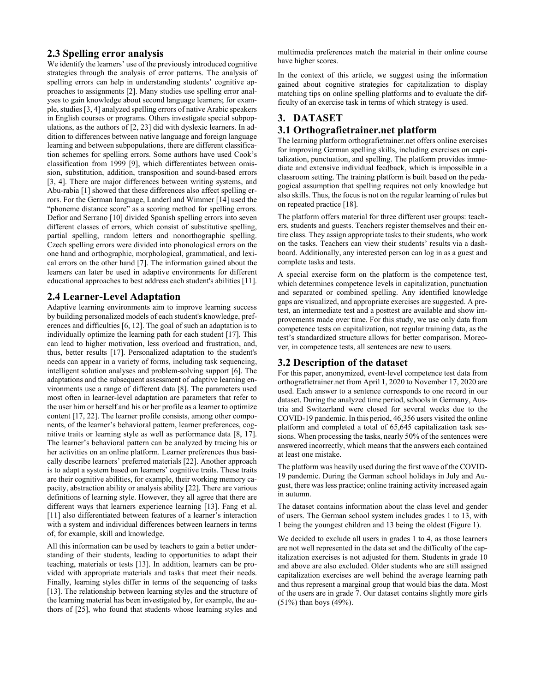### **2.3 Spelling error analysis**

We identify the learners' use of the previously introduced cognitive strategies through the analysis of error patterns. The analysis of spelling errors can help in understanding students' cognitive approaches to assignments [2]. Many studies use spelling error analyses to gain knowledge about second language learners; for example, studies [3, 4] analyzed spelling errors of native Arabic speakers in English courses or programs. Others investigate special subpopulations, as the authors of [2, 23] did with dyslexic learners. In addition to differences between native language and foreign language learning and between subpopulations, there are different classification schemes for spelling errors. Some authors have used Cook's classification from 1999 [9], which differentiates between omission, substitution, addition, transposition and sound-based errors [3, 4]. There are major differences between writing systems, and Abu-rabia [1] showed that these differences also affect spelling errors. For the German language, Landerl and Wimmer [14] used the "phoneme distance score" as a scoring method for spelling errors. Defior and Serrano [10] divided Spanish spelling errors into seven different classes of errors, which consist of substitutive spelling, partial spelling, random letters and nonorthographic spelling. Czech spelling errors were divided into phonological errors on the one hand and orthographic, morphological, grammatical, and lexical errors on the other hand [7]. The information gained about the learners can later be used in adaptive environments for different educational approaches to best address each student's abilities [11].

# **2.4 Learner-Level Adaptation**

Adaptive learning environments aim to improve learning success by building personalized models of each student's knowledge, preferences and difficulties [6, 12]. The goal of such an adaptation is to individually optimize the learning path for each student [17]. This can lead to higher motivation, less overload and frustration, and, thus, better results [17]. Personalized adaptation to the student's needs can appear in a variety of forms, including task sequencing, intelligent solution analyses and problem-solving support [6]. The adaptations and the subsequent assessment of adaptive learning environments use a range of different data [8]. The parameters used most often in learner-level adaptation are parameters that refer to the user him or herself and his or her profile as a learner to optimize content [17, 22]. The learner profile consists, among other components, of the learner's behavioral pattern, learner preferences, cognitive traits or learning style as well as performance data [8, 17]. The learner's behavioral pattern can be analyzed by tracing his or her activities on an online platform. Learner preferences thus basically describe learners' preferred materials [22]. Another approach is to adapt a system based on learners' cognitive traits. These traits are their cognitive abilities, for example, their working memory capacity, abstraction ability or analysis ability [22]. There are various definitions of learning style. However, they all agree that there are different ways that learners experience learning [13]. Fang et al. [11] also differentiated between features of a learner's interaction with a system and individual differences between learners in terms of, for example, skill and knowledge.

All this information can be used by teachers to gain a better understanding of their students, leading to opportunities to adapt their teaching, materials or tests [13]. In addition, learners can be provided with appropriate materials and tasks that meet their needs. Finally, learning styles differ in terms of the sequencing of tasks [13]. The relationship between learning styles and the structure of the learning material has been investigated by, for example, the authors of [25], who found that students whose learning styles and

multimedia preferences match the material in their online course have higher scores.

In the context of this article, we suggest using the information gained about cognitive strategies for capitalization to display matching tips on online spelling platforms and to evaluate the difficulty of an exercise task in terms of which strategy is used.

### **3. DATASET**

#### **3.1 Orthografietrainer.net platform**

The learning platform orthografietrainer.net offers online exercises for improving German spelling skills, including exercises on capitalization, punctuation, and spelling. The platform provides immediate and extensive individual feedback, which is impossible in a classroom setting. The training platform is built based on the pedagogical assumption that spelling requires not only knowledge but also skills. Thus, the focus is not on the regular learning of rules but on repeated practice [18].

The platform offers material for three different user groups: teachers, students and guests. Teachers register themselves and their entire class. They assign appropriate tasks to their students, who work on the tasks. Teachers can view their students' results via a dashboard. Additionally, any interested person can log in as a guest and complete tasks and tests.

A special exercise form on the platform is the competence test, which determines competence levels in capitalization, punctuation and separated or combined spelling. Any identified knowledge gaps are visualized, and appropriate exercises are suggested. A pretest, an intermediate test and a posttest are available and show improvements made over time. For this study, we use only data from competence tests on capitalization, not regular training data, as the test's standardized structure allows for better comparison. Moreover, in competence tests, all sentences are new to users.

#### **3.2 Description of the dataset**

For this paper, anonymized, event-level competence test data from orthografietrainer.net from April 1, 2020 to November 17, 2020 are used. Each answer to a sentence corresponds to one record in our dataset. During the analyzed time period, schools in Germany, Austria and Switzerland were closed for several weeks due to the COVID-19 pandemic. In this period, 46,356 users visited the online platform and completed a total of 65,645 capitalization task sessions. When processing the tasks, nearly 50% of the sentences were answered incorrectly, which means that the answers each contained at least one mistake.

The platform was heavily used during the first wave of the COVID-19 pandemic. During the German school holidays in July and August, there was less practice; online training activity increased again in autumn.

The dataset contains information about the class level and gender of users. The German school system includes grades 1 to 13, with 1 being the youngest children and 13 being the oldest (Figure 1).

We decided to exclude all users in grades 1 to 4, as those learners are not well represented in the data set and the difficulty of the capitalization exercises is not adjusted for them. Students in grade 10 and above are also excluded. Older students who are still assigned capitalization exercises are well behind the average learning path and thus represent a marginal group that would bias the data. Most of the users are in grade 7. Our dataset contains slightly more girls (51%) than boys (49%).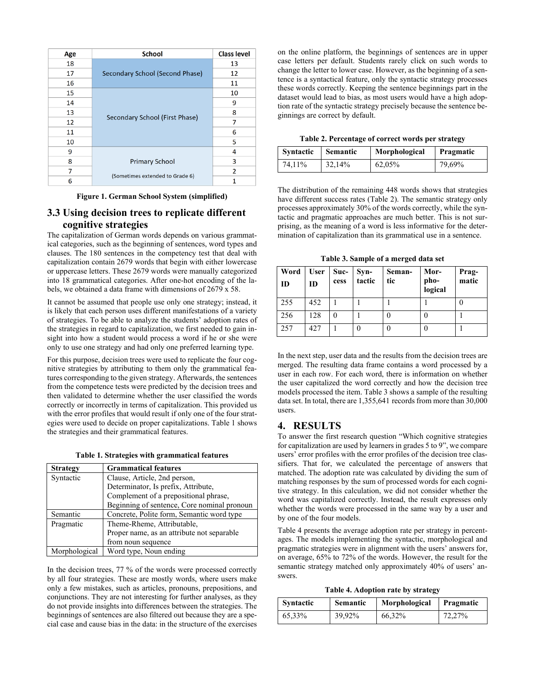| Age | <b>School</b>                   | <b>Class level</b> |
|-----|---------------------------------|--------------------|
| 18  |                                 | 13                 |
| 17  | Secondary School (Second Phase) | 12                 |
| 16  |                                 | 11                 |
| 15  |                                 | 10                 |
| 14  |                                 | 9                  |
| 13  |                                 | 8                  |
| 12  | Secondary School (First Phase)  | 7                  |
| 11  |                                 | 6                  |
| 10  |                                 | 5                  |
| 9   |                                 | 4                  |
| 8   | <b>Primary School</b>           | 3                  |
| 7   |                                 | $\overline{2}$     |
| ĥ   | (Sometimes extended to Grade 6) | 1                  |

**Figure 1. German School System (simplified)**

# **3.3 Using decision trees to replicate different cognitive strategies**

The capitalization of German words depends on various grammatical categories, such as the beginning of sentences, word types and clauses. The 180 sentences in the competency test that deal with capitalization contain 2679 words that begin with either lowercase or uppercase letters. These 2679 words were manually categorized into 18 grammatical categories. After one-hot encoding of the labels, we obtained a data frame with dimensions of 2679 x 58.

It cannot be assumed that people use only one strategy; instead, it is likely that each person uses different manifestations of a variety of strategies. To be able to analyze the students' adoption rates of the strategies in regard to capitalization, we first needed to gain insight into how a student would process a word if he or she were only to use one strategy and had only one preferred learning type.

For this purpose, decision trees were used to replicate the four cognitive strategies by attributing to them only the grammatical features corresponding to the given strategy. Afterwards, the sentences from the competence tests were predicted by the decision trees and then validated to determine whether the user classified the words correctly or incorrectly in terms of capitalization. This provided us with the error profiles that would result if only one of the four strategies were used to decide on proper capitalizations. Table 1 shows the strategies and their grammatical features.

**Table 1. Strategies with grammatical features**

| <b>Strategy</b> | <b>Grammatical features</b>                 |
|-----------------|---------------------------------------------|
| Syntactic       | Clause, Article, 2nd person,                |
|                 | Determinator, Is prefix, Attribute,         |
|                 | Complement of a prepositional phrase,       |
|                 | Beginning of sentence, Core nominal pronoun |
| Semantic        | Concrete, Polite form, Semantic word type   |
| Pragmatic       | Theme-Rheme, Attributable,                  |
|                 | Proper name, as an attribute not separable  |
|                 | from noun sequence                          |
| Morphological   | Word type, Noun ending                      |

In the decision trees, 77 % of the words were processed correctly by all four strategies. These are mostly words, where users make only a few mistakes, such as articles, pronouns, prepositions, and conjunctions. They are not interesting for further analyses, as they do not provide insights into differences between the strategies. The beginnings of sentences are also filtered out because they are a special case and cause bias in the data: in the structure of the exercises

on the online platform, the beginnings of sentences are in upper case letters per default. Students rarely click on such words to change the letter to lower case. However, as the beginning of a sentence is a syntactical feature, only the syntactic strategy processes these words correctly. Keeping the sentence beginnings part in the dataset would lead to bias, as most users would have a high adoption rate of the syntactic strategy precisely because the sentence beginnings are correct by default.

| <b>Syntactic</b> | <b>Semantic</b> | Morphological | Pragmatic |
|------------------|-----------------|---------------|-----------|
| 74.11%           | 32,14%          | 62,05%        | 79,69%    |

The distribution of the remaining 448 words shows that strategies have different success rates (Table 2). The semantic strategy only processes approximately 30% of the words correctly, while the syntactic and pragmatic approaches are much better. This is not surprising, as the meaning of a word is less informative for the determination of capitalization than its grammatical use in a sentence.

**Table 3. Sample of a merged data set**

| Word<br>ID | <b>User</b><br><b>ID</b> | Suc-<br>cess | $Syn-$<br>tactic | Seman-<br>tic | Mor-<br>pho-<br>logical | Prag-<br>matic |
|------------|--------------------------|--------------|------------------|---------------|-------------------------|----------------|
| 255        | 452                      |              |                  |               |                         |                |
| 256        | 128                      |              |                  |               |                         |                |
| 257        | 427                      |              |                  |               |                         |                |

In the next step, user data and the results from the decision trees are merged. The resulting data frame contains a word processed by a user in each row. For each word, there is information on whether the user capitalized the word correctly and how the decision tree models processed the item. Table 3 shows a sample of the resulting data set. In total, there are 1,355,641 records from more than 30,000 users.

# **4. RESULTS**

To answer the first research question "Which cognitive strategies for capitalization are used by learners in grades 5 to 9", we compare users' error profiles with the error profiles of the decision tree classifiers. That for, we calculated the percentage of answers that matched. The adoption rate was calculated by dividing the sum of matching responses by the sum of processed words for each cognitive strategy. In this calculation, we did not consider whether the word was capitalized correctly. Instead, the result expresses only whether the words were processed in the same way by a user and by one of the four models.

Table 4 presents the average adoption rate per strategy in percentages. The models implementing the syntactic, morphological and pragmatic strategies were in alignment with the users' answers for, on average, 65% to 72% of the words. However, the result for the semantic strategy matched only approximately 40% of users' answers.

**Table 4. Adoption rate by strategy**

| <b>Syntactic</b> | <b>Semantic</b> | Morphological | Pragmatic |  |
|------------------|-----------------|---------------|-----------|--|
| 65,33%           | 39.92%          | 66,32%        | 72.27%    |  |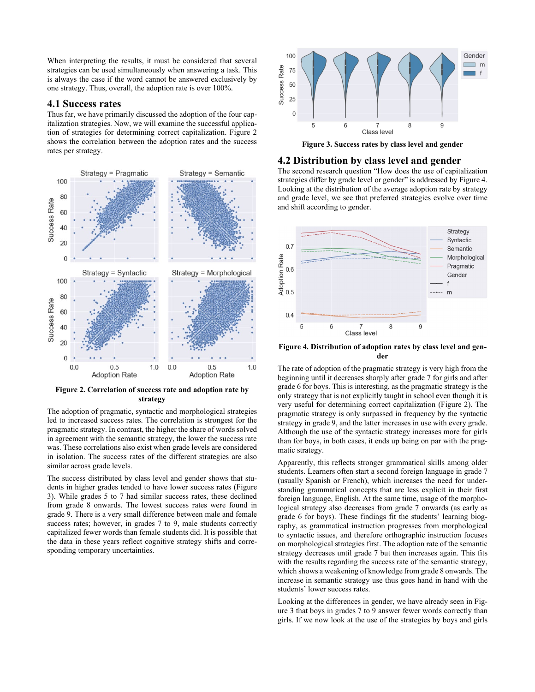When interpreting the results, it must be considered that several strategies can be used simultaneously when answering a task. This is always the case if the word cannot be answered exclusively by one strategy. Thus, overall, the adoption rate is over 100%.

#### **4.1 Success rates**

Thus far, we have primarily discussed the adoption of the four capitalization strategies. Now, we will examine the successful application of strategies for determining correct capitalization. Figure 2 shows the correlation between the adoption rates and the success rates per strategy.



**Figure 2. Correlation of success rate and adoption rate by strategy**

The adoption of pragmatic, syntactic and morphological strategies led to increased success rates. The correlation is strongest for the pragmatic strategy. In contrast, the higher the share of words solved in agreement with the semantic strategy, the lower the success rate was. These correlations also exist when grade levels are considered in isolation. The success rates of the different strategies are also similar across grade levels.

The success distributed by class level and gender shows that students in higher grades tended to have lower success rates (Figure 3). While grades 5 to 7 had similar success rates, these declined from grade 8 onwards. The lowest success rates were found in grade 9. There is a very small difference between male and female success rates; however, in grades 7 to 9, male students correctly capitalized fewer words than female students did. It is possible that the data in these years reflect cognitive strategy shifts and corresponding temporary uncertainties.



**Figure 3. Success rates by class level and gender**

#### **4.2 Distribution by class level and gender**

The second research question "How does the use of capitalization strategies differ by grade level or gender" is addressed by Figure 4. Looking at the distribution of the average adoption rate by strategy and grade level, we see that preferred strategies evolve over time and shift according to gender.



**Figure 4. Distribution of adoption rates by class level and gender**

The rate of adoption of the pragmatic strategy is very high from the beginning until it decreases sharply after grade 7 for girls and after grade 6 for boys. This is interesting, as the pragmatic strategy is the only strategy that is not explicitly taught in school even though it is very useful for determining correct capitalization (Figure 2). The pragmatic strategy is only surpassed in frequency by the syntactic strategy in grade 9, and the latter increases in use with every grade. Although the use of the syntactic strategy increases more for girls than for boys, in both cases, it ends up being on par with the pragmatic strategy.

Apparently, this reflects stronger grammatical skills among older students. Learners often start a second foreign language in grade 7 (usually Spanish or French), which increases the need for understanding grammatical concepts that are less explicit in their first foreign language, English. At the same time, usage of the morphological strategy also decreases from grade 7 onwards (as early as grade 6 for boys). These findings fit the students' learning biography, as grammatical instruction progresses from morphological to syntactic issues, and therefore orthographic instruction focuses on morphological strategies first. The adoption rate of the semantic strategy decreases until grade 7 but then increases again. This fits with the results regarding the success rate of the semantic strategy, which shows a weakening of knowledge from grade 8 onwards. The increase in semantic strategy use thus goes hand in hand with the students' lower success rates.

Looking at the differences in gender, we have already seen in Figure 3 that boys in grades 7 to 9 answer fewer words correctly than girls. If we now look at the use of the strategies by boys and girls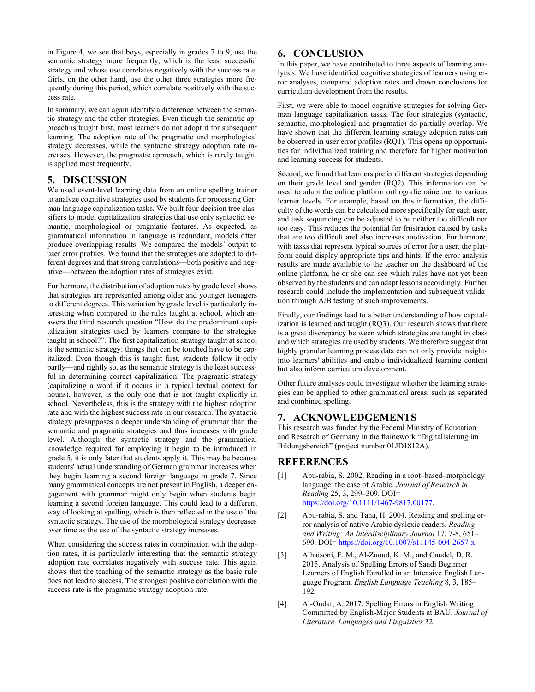in Figure 4, we see that boys, especially in grades 7 to 9, use the semantic strategy more frequently, which is the least successful strategy and whose use correlates negatively with the success rate. Girls, on the other hand, use the other three strategies more frequently during this period, which correlate positively with the success rate.

In summary, we can again identify a difference between the semantic strategy and the other strategies. Even though the semantic approach is taught first, most learners do not adopt it for subsequent learning. The adoption rate of the pragmatic and morphological strategy decreases, while the syntactic strategy adoption rate increases. However, the pragmatic approach, which is rarely taught, is applied most frequently.

#### **5. DISCUSSION**

We used event-level learning data from an online spelling trainer to analyze cognitive strategies used by students for processing German language capitalization tasks. We built four decision tree classifiers to model capitalization strategies that use only syntactic, semantic, morphological or pragmatic features. As expected, as grammatical information in language is redundant, models often produce overlapping results. We compared the models' output to user error profiles. We found that the strategies are adopted to different degrees and that strong correlations—both positive and negative—between the adoption rates of strategies exist.

Furthermore, the distribution of adoption rates by grade level shows that strategies are represented among older and younger teenagers to different degrees. This variation by grade level is particularly interesting when compared to the rules taught at school, which answers the third research question "How do the predominant capitalization strategies used by learners compare to the strategies taught in school?". The first capitalization strategy taught at school is the semantic strategy: things that can be touched have to be capitalized. Even though this is taught first, students follow it only partly—and rightly so, as the semantic strategy is the least successful in determining correct capitalization. The pragmatic strategy (capitalizing a word if it occurs in a typical textual context for nouns), however, is the only one that is not taught explicitly in school. Nevertheless, this is the strategy with the highest adoption rate and with the highest success rate in our research. The syntactic strategy presupposes a deeper understanding of grammar than the semantic and pragmatic strategies and thus increases with grade level. Although the syntactic strategy and the grammatical knowledge required for employing it begin to be introduced in grade 5, it is only later that students apply it. This may be because students' actual understanding of German grammar increases when they begin learning a second foreign language in grade 7. Since many grammatical concepts are not present in English, a deeper engagement with grammar might only begin when students begin learning a second foreign language. This could lead to a different way of looking at spelling, which is then reflected in the use of the syntactic strategy. The use of the morphological strategy decreases over time as the use of the syntactic strategy increases.

When considering the success rates in combination with the adoption rates, it is particularly interesting that the semantic strategy adoption rate correlates negatively with success rate. This again shows that the teaching of the semantic strategy as the basic rule does not lead to success. The strongest positive correlation with the success rate is the pragmatic strategy adoption rate.

### **6. CONCLUSION**

In this paper, we have contributed to three aspects of learning analytics. We have identified cognitive strategies of learners using error analyses, compared adoption rates and drawn conclusions for curriculum development from the results.

First, we were able to model cognitive strategies for solving German language capitalization tasks. The four strategies (syntactic, semantic, morphological and pragmatic) do partially overlap. We have shown that the different learning strategy adoption rates can be observed in user error profiles (RQ1). This opens up opportunities for individualized training and therefore for higher motivation and learning success for students.

Second, we found that learners prefer different strategies depending on their grade level and gender (RQ2). This information can be used to adapt the online platform orthografietrainer.net to various learner levels. For example, based on this information, the difficulty of the words can be calculated more specifically for each user, and task sequencing can be adjusted to be neither too difficult nor too easy. This reduces the potential for frustration caused by tasks that are too difficult and also increases motivation. Furthermore, with tasks that represent typical sources of error for a user, the platform could display appropriate tips and hints. If the error analysis results are made available to the teacher on the dashboard of the online platform, he or she can see which rules have not yet been observed by the students and can adapt lessons accordingly. Further research could include the implementation and subsequent validation through A/B testing of such improvements.

Finally, our findings lead to a better understanding of how capitalization is learned and taught (RQ3). Our research shows that there is a great discrepancy between which strategies are taught in class and which strategies are used by students. We therefore suggest that highly granular learning process data can not only provide insights into learners' abilities and enable individualized learning content but also inform curriculum development.

Other future analyses could investigate whether the learning strategies can be applied to other grammatical areas, such as separated and combined spelling.

#### **7. ACKNOWLEDGEMENTS**

This research was funded by the Federal Ministry of Education and Research of Germany in the framework "Digitalisierung im Bildungsbereich" (project number 01JD1812A).

#### **REFERENCES**

- [1] Abu-rabia, S. 2002. Reading in a root–based–morphology language: the case of Arabic. *Journal of Research in Reading* 25, 3, 299–309. DOI= https://doi.org/10.1111/1467-9817.00177.
- [2] Abu-rabia, S. and Taha, H. 2004. Reading and spelling error analysis of native Arabic dyslexic readers. *Reading and Writing: An Interdisciplinary Journal* 17, 7-8, 651– 690. DOI= https://doi.org/10.1007/s11145-004-2657-x.
- [3] Alhaisoni, E. M., Al-Zuoud, K. M., and Gaudel, D. R. 2015. Analysis of Spelling Errors of Saudi Beginner Learners of English Enrolled in an Intensive English Language Program. *English Language Teaching* 8, 3, 185– 192.
- [4] Al-Oudat, A. 2017. Spelling Errors in English Writing Committed by English-Major Students at BAU. *Journal of Literature, Languages and Linguistics* 32.